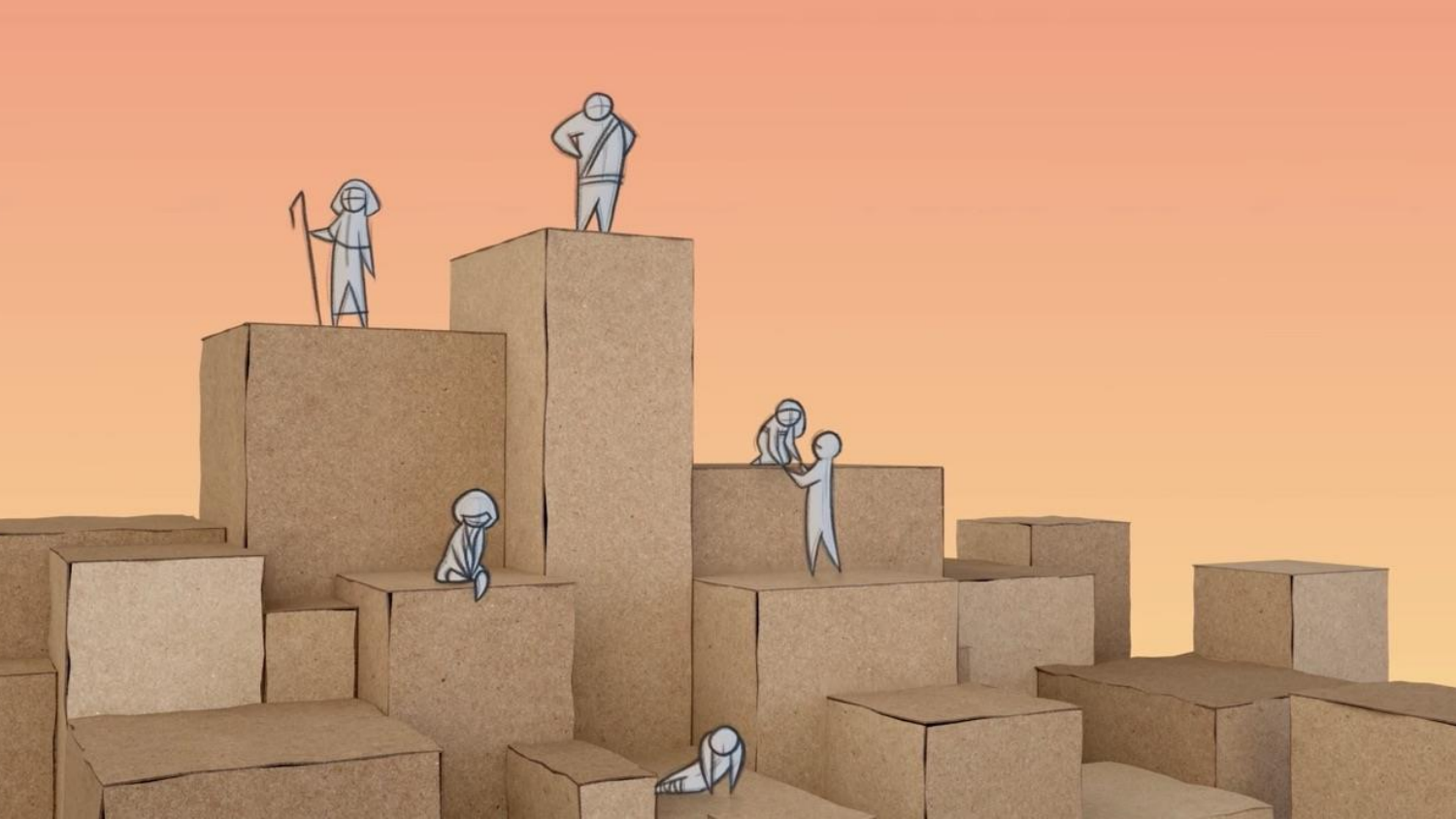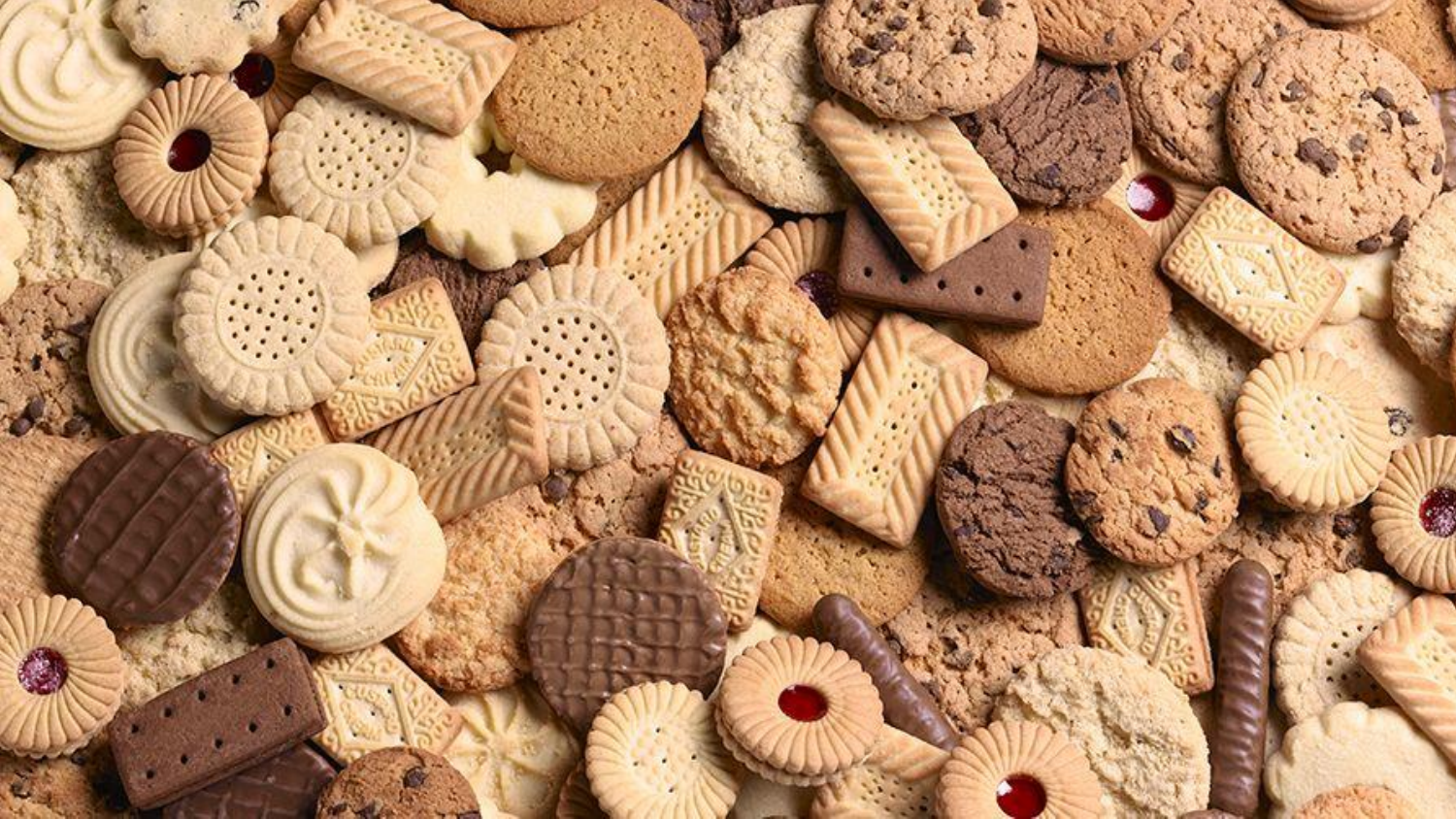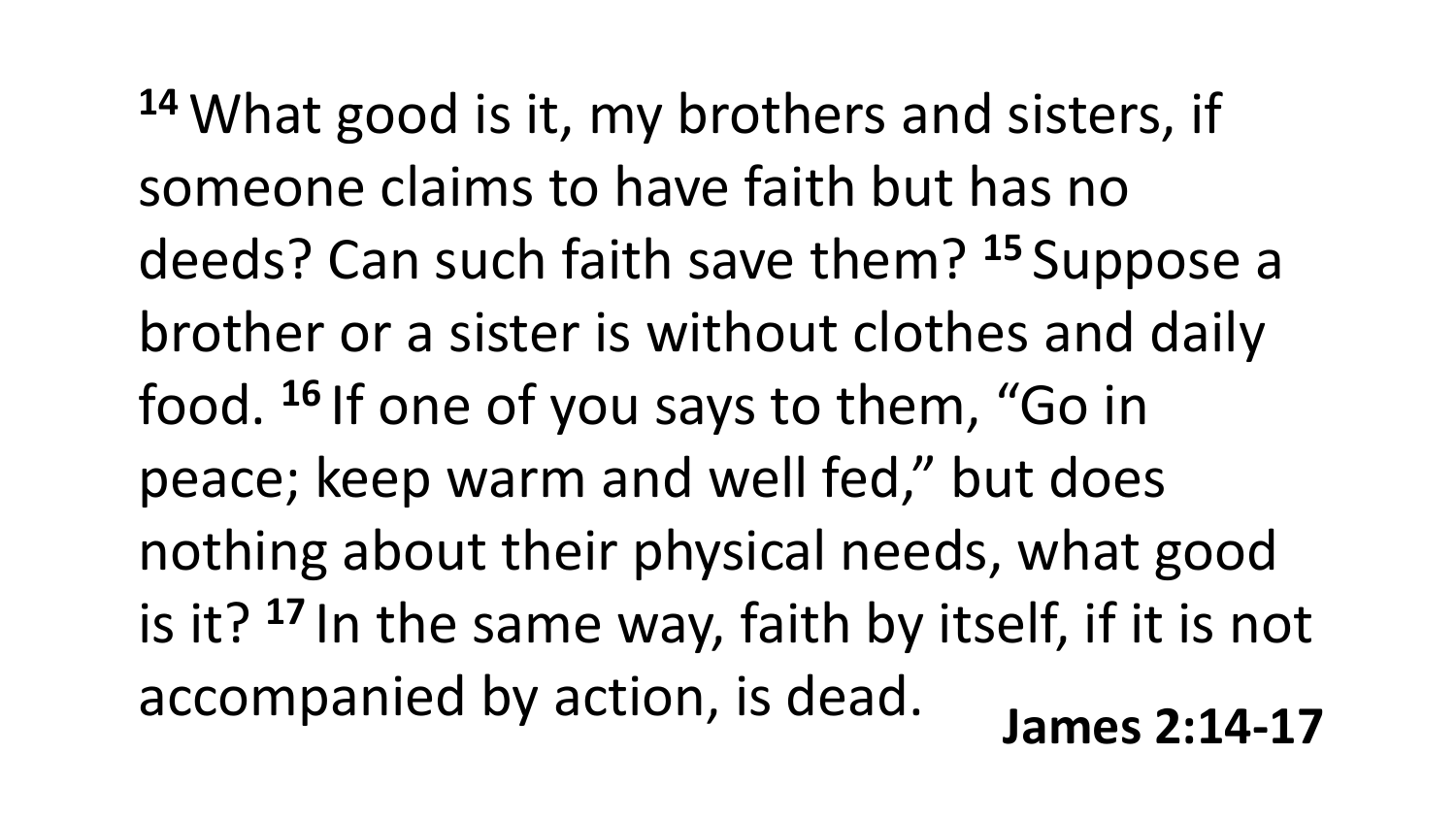**<sup>14</sup>**What good is it, my brothers and sisters, if someone claims to have faith but has no deeds? Can such faith save them? **<sup>15</sup>**Suppose a brother or a sister is without clothes and daily food. **<sup>16</sup>**If one of you says to them, "Go in peace; keep warm and well fed," but does nothing about their physical needs, what good is it? **<sup>17</sup>**In the same way, faith by itself, if it is not accompanied by action, is dead. **James 2:14-17**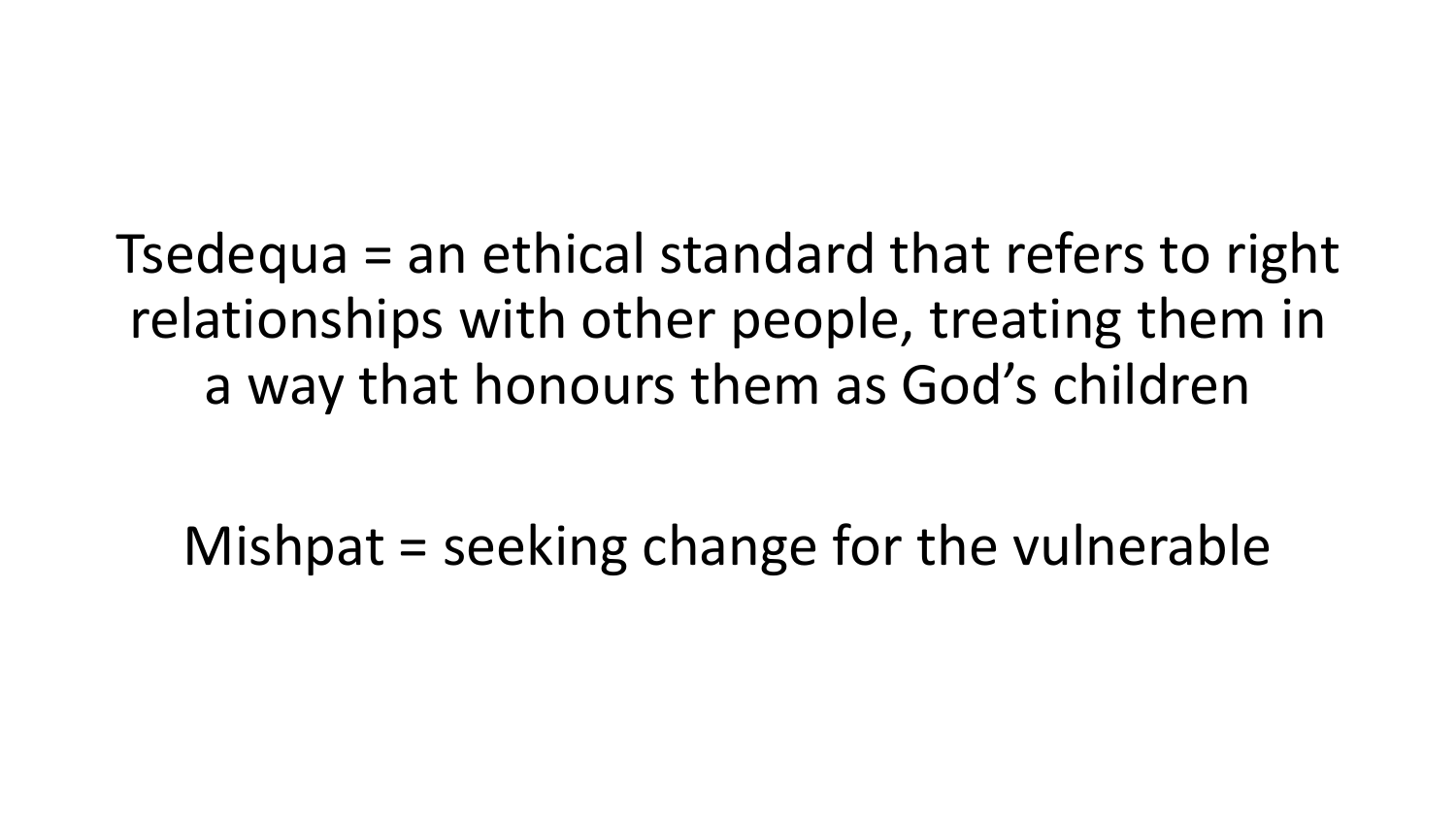Tsedequa = an ethical standard that refers to right relationships with other people, treating them in a way that honours them as God's children

Mishpat = seeking change for the vulnerable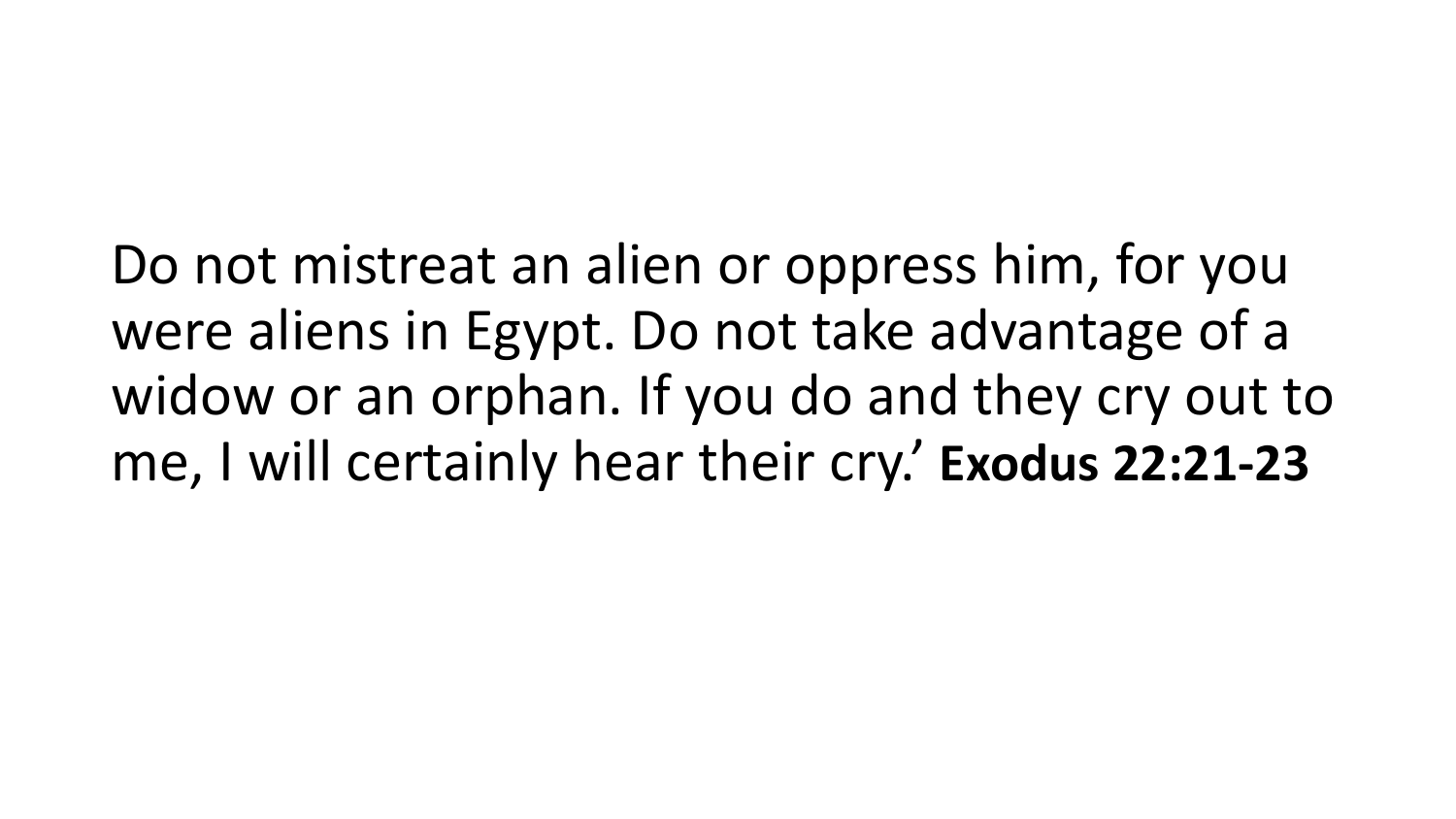Do not mistreat an alien or oppress him, for you were aliens in Egypt. Do not take advantage of a widow or an orphan. If you do and they cry out to me, I will certainly hear their cry.' **Exodus 22:21-23**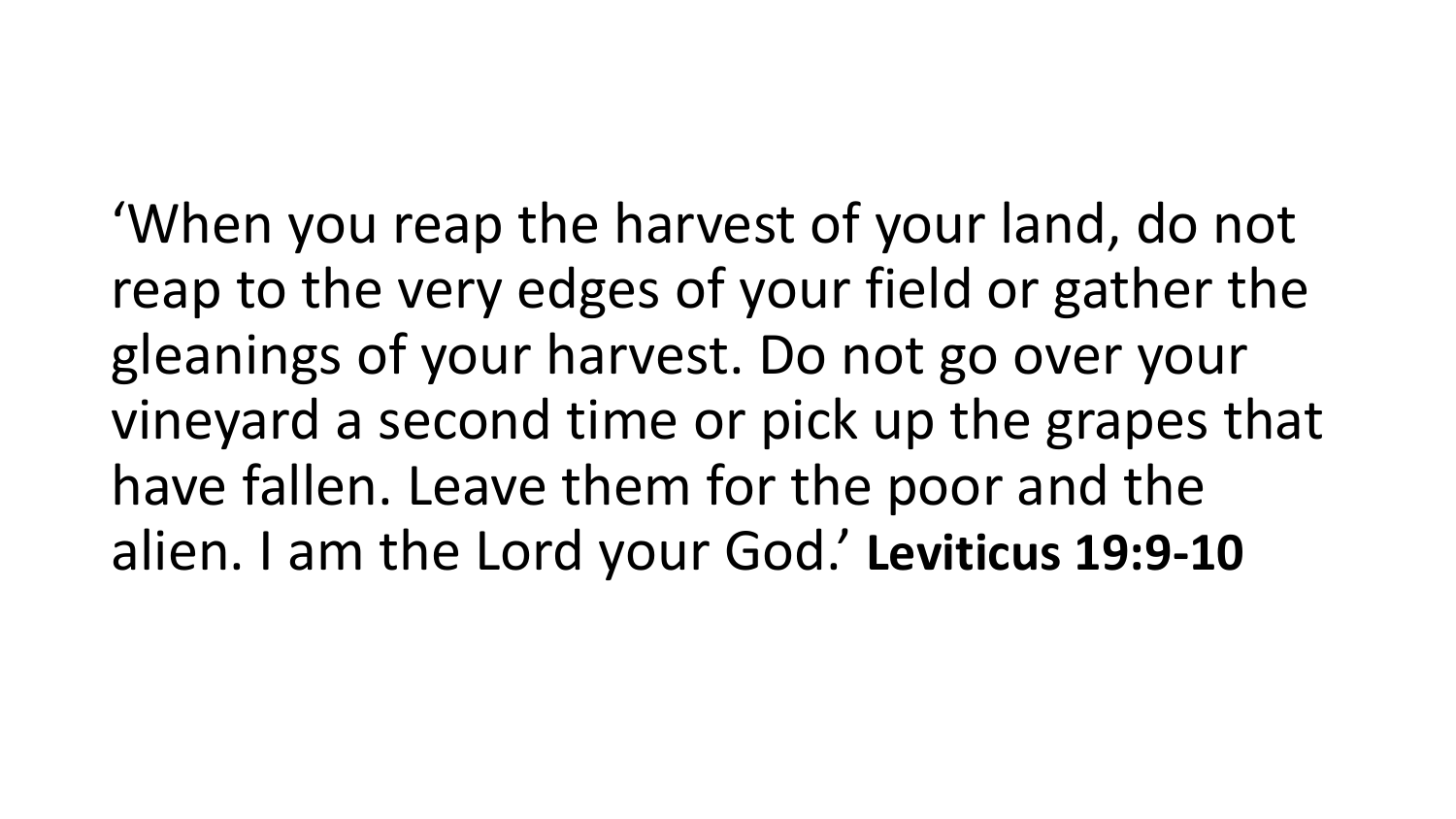'When you reap the harvest of your land, do not reap to the very edges of your field or gather the gleanings of your harvest. Do not go over your vineyard a second time or pick up the grapes that have fallen. Leave them for the poor and the alien. I am the Lord your God.' **Leviticus 19:9-10**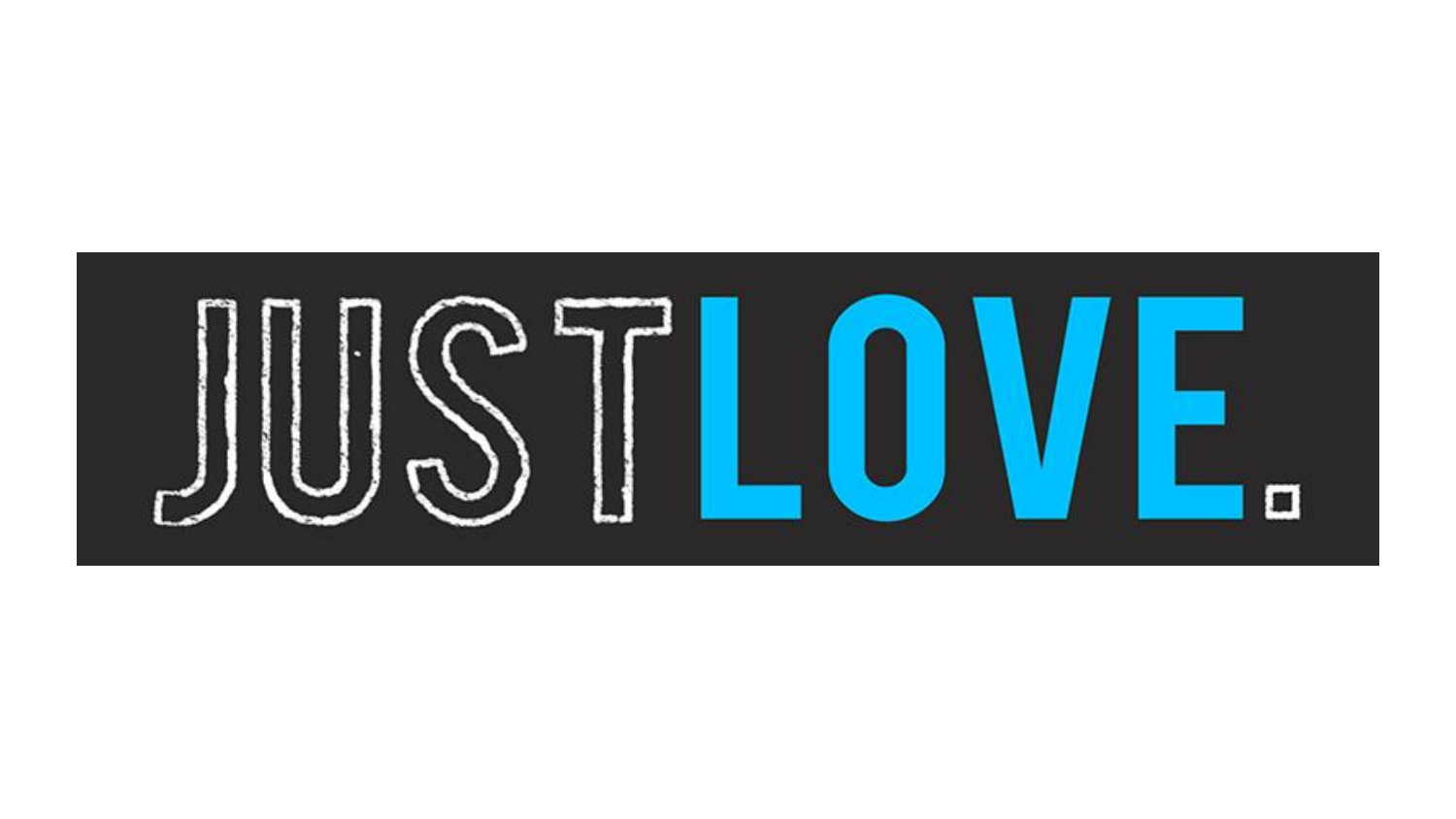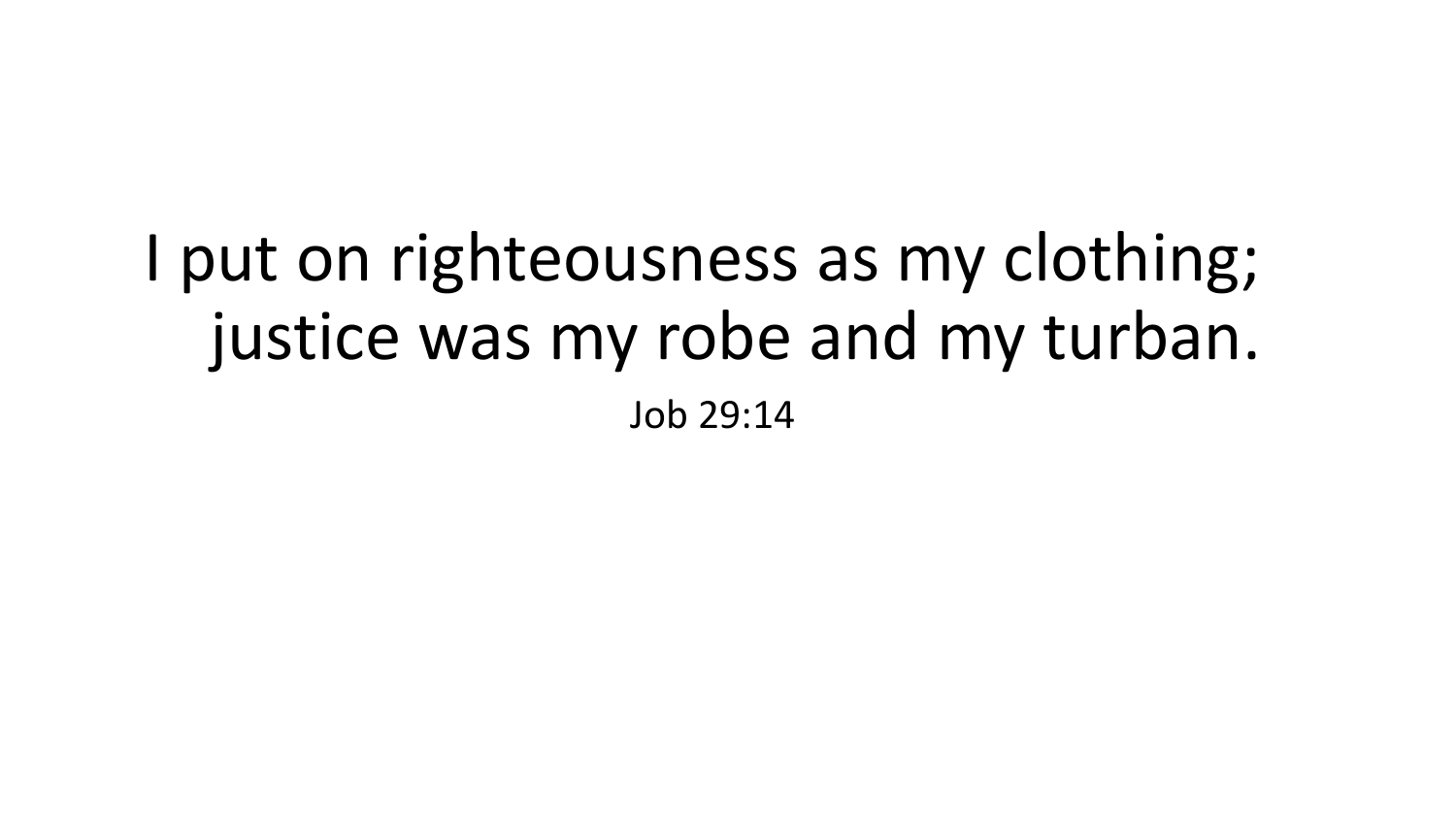## I put on righteousness as my clothing; justice was my robe and my turban. Job 29:14